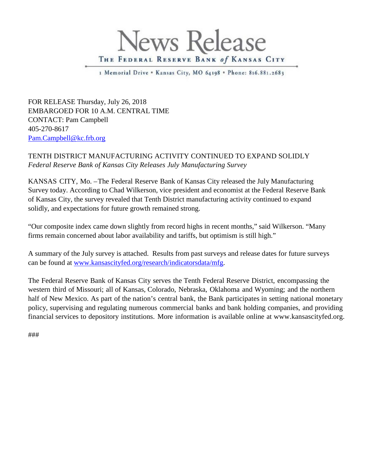

1 Memorial Drive . Kansas City, MO 64198 . Phone: 816.881.2683

FOR RELEASE Thursday, July 26, 2018 EMBARGOED FOR 10 A.M. CENTRAL TIME CONTACT: Pam Campbell 405-270-8617 [Pam.Campbell@kc.frb.org](mailto:Pam.Campbell@kc.frb.org)

# TENTH DISTRICT MANUFACTURING ACTIVITY CONTINUED TO EXPAND SOLIDLY *Federal Reserve Bank of Kansas City Releases July Manufacturing Survey*

KANSAS CITY, Mo. –The Federal Reserve Bank of Kansas City released the July Manufacturing Survey today. According to Chad Wilkerson, vice president and economist at the Federal Reserve Bank of Kansas City, the survey revealed that Tenth District manufacturing activity continued to expand solidly, and expectations for future growth remained strong.

"Our composite index came down slightly from record highs in recent months," said Wilkerson. "Many firms remain concerned about labor availability and tariffs, but optimism is still high."

A summary of the July survey is attached. Results from past surveys and release dates for future surveys can be found at [www.kansascityfed.org/research/indicatorsdata/mfg.](http://www.kansascityfed.org/research/indicatorsdata/mfg)

The Federal Reserve Bank of Kansas City serves the Tenth Federal Reserve District, encompassing the western third of Missouri; all of Kansas, Colorado, Nebraska, Oklahoma and Wyoming; and the northern half of New Mexico. As part of the nation's central bank, the Bank participates in setting national monetary policy, supervising and regulating numerous commercial banks and bank holding companies, and providing financial services to depository institutions. More information is available online at [www.kansascityfed.org.](http://www.kansascityfed.org/)

###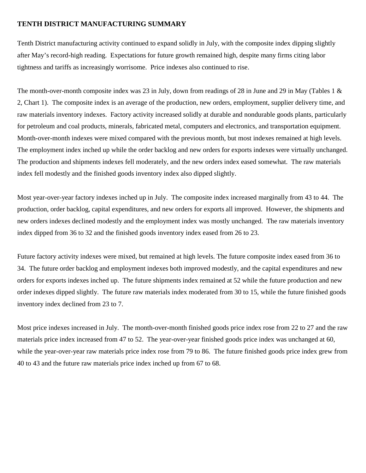## **TENTH DISTRICT MANUFACTURING SUMMARY**

Tenth District manufacturing activity continued to expand solidly in July, with the composite index dipping slightly after May's record-high reading. Expectations for future growth remained high, despite many firms citing labor tightness and tariffs as increasingly worrisome. Price indexes also continued to rise.

The month-over-month composite index was 23 in July, down from readings of 28 in June and 29 in May (Tables 1  $\&$ 2, Chart 1). The composite index is an average of the production, new orders, employment, supplier delivery time, and raw materials inventory indexes. Factory activity increased solidly at durable and nondurable goods plants, particularly for petroleum and coal products, minerals, fabricated metal, computers and electronics, and transportation equipment. Month-over-month indexes were mixed compared with the previous month, but most indexes remained at high levels. The employment index inched up while the order backlog and new orders for exports indexes were virtually unchanged. The production and shipments indexes fell moderately, and the new orders index eased somewhat. The raw materials index fell modestly and the finished goods inventory index also dipped slightly.

Most year-over-year factory indexes inched up in July. The composite index increased marginally from 43 to 44. The production, order backlog, capital expenditures, and new orders for exports all improved. However, the shipments and new orders indexes declined modestly and the employment index was mostly unchanged. The raw materials inventory index dipped from 36 to 32 and the finished goods inventory index eased from 26 to 23.

Future factory activity indexes were mixed, but remained at high levels. The future composite index eased from 36 to 34. The future order backlog and employment indexes both improved modestly, and the capital expenditures and new orders for exports indexes inched up. The future shipments index remained at 52 while the future production and new order indexes dipped slightly. The future raw materials index moderated from 30 to 15, while the future finished goods inventory index declined from 23 to 7.

Most price indexes increased in July. The month-over-month finished goods price index rose from 22 to 27 and the raw materials price index increased from 47 to 52. The year-over-year finished goods price index was unchanged at 60, while the year-over-year raw materials price index rose from 79 to 86. The future finished goods price index grew from 40 to 43 and the future raw materials price index inched up from 67 to 68.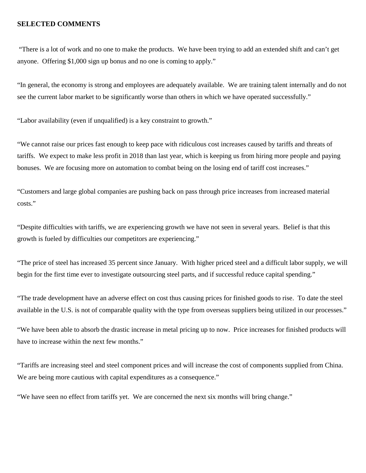### **SELECTED COMMENTS**

"There is a lot of work and no one to make the products. We have been trying to add an extended shift and can't get anyone. Offering \$1,000 sign up bonus and no one is coming to apply."

"In general, the economy is strong and employees are adequately available. We are training talent internally and do not see the current labor market to be significantly worse than others in which we have operated successfully."

"Labor availability (even if unqualified) is a key constraint to growth."

"We cannot raise our prices fast enough to keep pace with ridiculous cost increases caused by tariffs and threats of tariffs. We expect to make less profit in 2018 than last year, which is keeping us from hiring more people and paying bonuses. We are focusing more on automation to combat being on the losing end of tariff cost increases."

"Customers and large global companies are pushing back on pass through price increases from increased material costs."

"Despite difficulties with tariffs, we are experiencing growth we have not seen in several years. Belief is that this growth is fueled by difficulties our competitors are experiencing."

"The price of steel has increased 35 percent since January. With higher priced steel and a difficult labor supply, we will begin for the first time ever to investigate outsourcing steel parts, and if successful reduce capital spending."

"The trade development have an adverse effect on cost thus causing prices for finished goods to rise. To date the steel available in the U.S. is not of comparable quality with the type from overseas suppliers being utilized in our processes."

"We have been able to absorb the drastic increase in metal pricing up to now. Price increases for finished products will have to increase within the next few months."

"Tariffs are increasing steel and steel component prices and will increase the cost of components supplied from China. We are being more cautious with capital expenditures as a consequence."

"We have seen no effect from tariffs yet. We are concerned the next six months will bring change."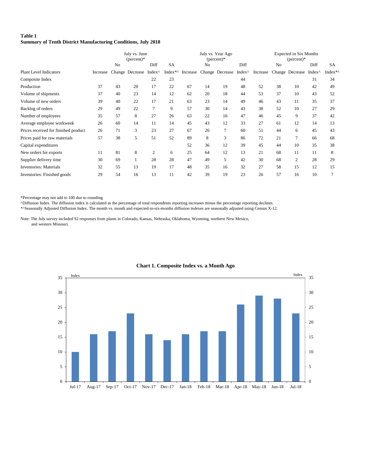#### **Table 1 Summary of Tenth District Manufacturing Conditions, July 2018**

|                                      | July vs. June<br>$(\text{percent})^*$ |                |                 |                |           |          | July vs. Year Ago<br>$(\text{percent})^*$ |                 |                    |          | <b>Expected in Six Months</b><br>$(\text{percent})^*$ |                 |                    |           |  |  |
|--------------------------------------|---------------------------------------|----------------|-----------------|----------------|-----------|----------|-------------------------------------------|-----------------|--------------------|----------|-------------------------------------------------------|-----------------|--------------------|-----------|--|--|
|                                      |                                       | N <sub>o</sub> |                 | Diff           | <b>SA</b> |          | N <sub>o</sub>                            |                 | Diff               |          | N <sub>0</sub>                                        |                 | Diff               | <b>SA</b> |  |  |
| <b>Plant Level Indicators</b>        | Increase                              |                | Change Decrease | Index $\wedge$ | Index*^   | Increase |                                           | Change Decrease | Index <sup>^</sup> | Increase |                                                       | Change Decrease | Index <sup>^</sup> | Index*^   |  |  |
| Composite Index                      |                                       |                |                 | 22             | 23        |          |                                           |                 | 44                 |          |                                                       |                 | 31                 | 34        |  |  |
| Production                           | 37                                    | 43             | 20              | 17             | 22        | 67       | 14                                        | 19              | 48                 | 52       | 38                                                    | 10              | 42                 | 49        |  |  |
| Volume of shipments                  | 37                                    | 40             | 23              | 14             | 12        | 62       | 20                                        | 18              | 44                 | 53       | 37                                                    | 10              | 43                 | 52        |  |  |
| Volume of new orders                 | 39                                    | 40             | 22              | 17             | 21        | 63       | 23                                        | 14              | 49                 | 46       | 43                                                    | 11              | 35                 | 37        |  |  |
| Backlog of orders                    | 29                                    | 49             | 22              | $\tau$         | 9         | 57       | 30                                        | 14              | 43                 | 38       | 52                                                    | 10              | 27                 | 29        |  |  |
| Number of employees                  | 35                                    | 57             | 8               | 27             | 26        | 63       | 22                                        | 16              | 47                 | 46       | 45                                                    | 9               | 37                 | 42        |  |  |
| Average employee workweek            | 26                                    | 60             | 14              | 11             | 14        | 45       | 43                                        | 12              | 33                 | 27       | 61                                                    | 12              | 14                 | 13        |  |  |
| Prices received for finished product | 26                                    | 71             | 3               | 23             | 27        | 67       | 26                                        | 7               | 60                 | 51       | 44                                                    | 6               | 45                 | 43        |  |  |
| Prices paid for raw materials        | 57                                    | 38             | 5               | 51             | 52        | 89       | 8                                         | 3               | 86                 | 72       | 21                                                    | 7               | 66                 | 68        |  |  |
| Capital expenditures                 |                                       |                |                 |                |           | 52       | 36                                        | 12              | 39                 | 45       | 44                                                    | 10              | 35                 | 38        |  |  |
| New orders for exports               | 11                                    | 81             | 8               | $\overline{2}$ | 6         | 25       | 64                                        | 12              | 13                 | 21       | 68                                                    | 11              | 11                 | 8         |  |  |
| Supplier delivery time               | 30                                    | 69             |                 | 28             | 28        | 47       | 49                                        | 5               | 42                 | 30       | 68                                                    | $\overline{c}$  | 28                 | 29        |  |  |
| <b>Inventories:</b> Materials        | 32                                    | 55             | 13              | 19             | 17        | 48       | 35                                        | 16              | 32                 | 27       | 58                                                    | 15              | 12                 | 15        |  |  |
| Inventories: Finished goods          | 29                                    | 54             | 16              | 13             | 11        | 42       | 39                                        | 19              | 23                 | 26       | 57                                                    | 16              | 10                 |           |  |  |

\*Percentage may not add to 100 due to rounding

^Diffusion Index. The diffusion index is calculated as the percentage of total respondents reporting increases minus the percentage reporting declines.

\*^Seasonally Adjusted Diffusion Index. The month vs. month and expected-in-six-months diffusion indexes are seasonally adjusted using Census X-12.

Note: The July survey included 92 responses from plants in Colorado, Kansas, Nebraska, Oklahoma, Wyoming, northern New Mexico, and western Missouri.



#### **Chart 1. Composite Index vs. a Month Ago**